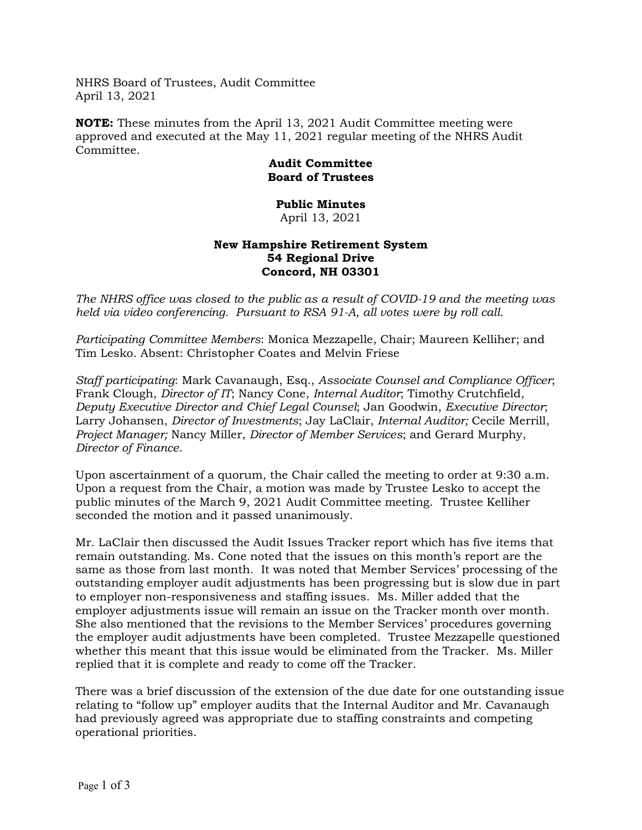NHRS Board of Trustees, Audit Committee April 13, 2021

**NOTE:** These minutes from the April 13, 2021 Audit Committee meeting were approved and executed at the May 11, 2021 regular meeting of the NHRS Audit Committee.

## **Audit Committee Board of Trustees**

## **Public Minutes** April 13, 2021

## **New Hampshire Retirement System 54 Regional Drive Concord, NH 03301**

*The NHRS office was closed to the public as a result of COVID-19 and the meeting was held via video conferencing. Pursuant to RSA 91-A, all votes were by roll call.*

*Participating Committee Members*: Monica Mezzapelle, Chair; Maureen Kelliher; and Tim Lesko. Absent: Christopher Coates and Melvin Friese

*Staff participating*: Mark Cavanaugh, Esq., *Associate Counsel and Compliance Officer*; Frank Clough, *Director of IT*; Nancy Cone, *Internal Auditor*; Timothy Crutchfield, *Deputy Executive Director and Chief Legal Counsel*; Jan Goodwin, *Executive Director*; Larry Johansen, *Director of Investments*; Jay LaClair, *Internal Auditor;* Cecile Merrill, *Project Manager;* Nancy Miller, *Director of Member Services*; and Gerard Murphy, *Director of Finance*.

Upon ascertainment of a quorum, the Chair called the meeting to order at 9:30 a.m. Upon a request from the Chair, a motion was made by Trustee Lesko to accept the public minutes of the March 9, 2021 Audit Committee meeting. Trustee Kelliher seconded the motion and it passed unanimously.

Mr. LaClair then discussed the Audit Issues Tracker report which has five items that remain outstanding. Ms. Cone noted that the issues on this month's report are the same as those from last month. It was noted that Member Services' processing of the outstanding employer audit adjustments has been progressing but is slow due in part to employer non-responsiveness and staffing issues. Ms. Miller added that the employer adjustments issue will remain an issue on the Tracker month over month. She also mentioned that the revisions to the Member Services' procedures governing the employer audit adjustments have been completed. Trustee Mezzapelle questioned whether this meant that this issue would be eliminated from the Tracker. Ms. Miller replied that it is complete and ready to come off the Tracker.

There was a brief discussion of the extension of the due date for one outstanding issue relating to "follow up" employer audits that the Internal Auditor and Mr. Cavanaugh had previously agreed was appropriate due to staffing constraints and competing operational priorities.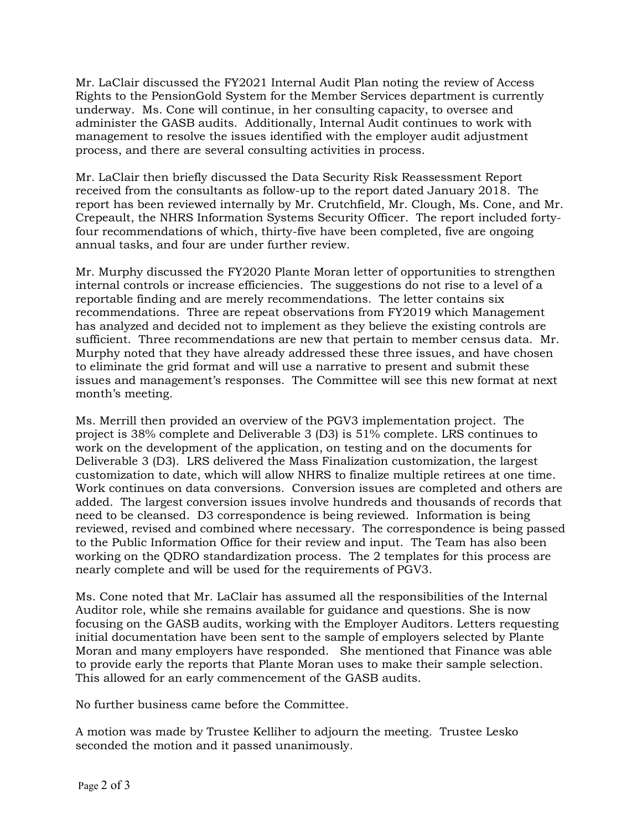Mr. LaClair discussed the FY2021 Internal Audit Plan noting the review of Access Rights to the PensionGold System for the Member Services department is currently underway. Ms. Cone will continue, in her consulting capacity, to oversee and administer the GASB audits. Additionally, Internal Audit continues to work with management to resolve the issues identified with the employer audit adjustment process, and there are several consulting activities in process.

Mr. LaClair then briefly discussed the Data Security Risk Reassessment Report received from the consultants as follow-up to the report dated January 2018. The report has been reviewed internally by Mr. Crutchfield, Mr. Clough, Ms. Cone, and Mr. Crepeault, the NHRS Information Systems Security Officer. The report included fortyfour recommendations of which, thirty-five have been completed, five are ongoing annual tasks, and four are under further review.

Mr. Murphy discussed the FY2020 Plante Moran letter of opportunities to strengthen internal controls or increase efficiencies. The suggestions do not rise to a level of a reportable finding and are merely recommendations. The letter contains six recommendations. Three are repeat observations from FY2019 which Management has analyzed and decided not to implement as they believe the existing controls are sufficient. Three recommendations are new that pertain to member census data. Mr. Murphy noted that they have already addressed these three issues, and have chosen to eliminate the grid format and will use a narrative to present and submit these issues and management's responses. The Committee will see this new format at next month's meeting.

Ms. Merrill then provided an overview of the PGV3 implementation project. The project is 38% complete and Deliverable 3 (D3) is 51% complete. LRS continues to work on the development of the application, on testing and on the documents for Deliverable 3 (D3). LRS delivered the Mass Finalization customization, the largest customization to date, which will allow NHRS to finalize multiple retirees at one time. Work continues on data conversions. Conversion issues are completed and others are added. The largest conversion issues involve hundreds and thousands of records that need to be cleansed. D3 correspondence is being reviewed. Information is being reviewed, revised and combined where necessary. The correspondence is being passed to the Public Information Office for their review and input. The Team has also been working on the QDRO standardization process. The 2 templates for this process are nearly complete and will be used for the requirements of PGV3.

Ms. Cone noted that Mr. LaClair has assumed all the responsibilities of the Internal Auditor role, while she remains available for guidance and questions. She is now focusing on the GASB audits, working with the Employer Auditors. Letters requesting initial documentation have been sent to the sample of employers selected by Plante Moran and many employers have responded. She mentioned that Finance was able to provide early the reports that Plante Moran uses to make their sample selection. This allowed for an early commencement of the GASB audits.

No further business came before the Committee.

A motion was made by Trustee Kelliher to adjourn the meeting. Trustee Lesko seconded the motion and it passed unanimously.